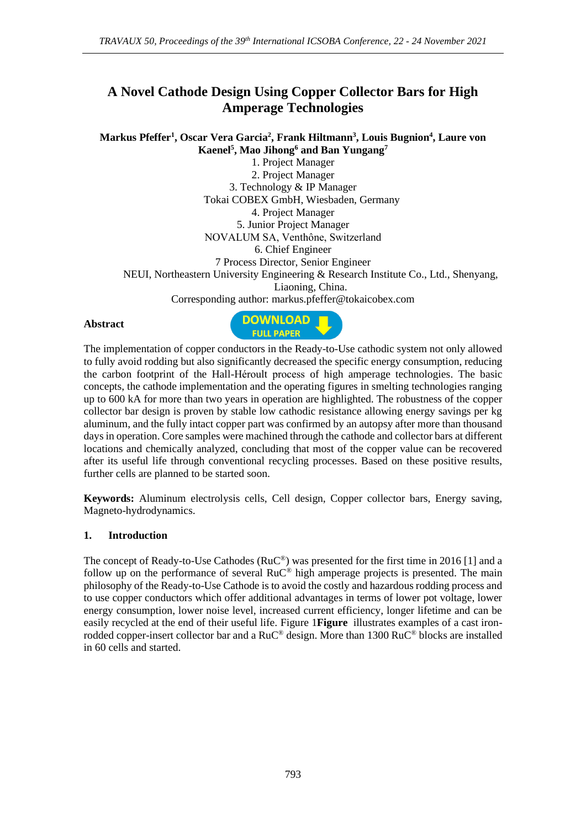# **A Novel Cathode Design Using Copper Collector Bars for High Amperage Technologies**

### **Markus Pfeffer<sup>1</sup> , Oscar Vera Garcia<sup>2</sup> , Frank Hiltmann<sup>3</sup> , Louis Bugnion<sup>4</sup> , Laure von Kaenel<sup>5</sup> , Mao Jihong<sup>6</sup> and Ban Yungang<sup>7</sup>**

1. Project Manager 2. Project Manager 3. Technology & IP Manager Tokai COBEX GmbH, Wiesbaden, Germany 4. Project Manager 5. Junior Project Manager NOVALUM SA, Venthône, Switzerland 6. Chief Engineer 7 Process Director, Senior Engineer NEUI, Northeastern University Engineering & Research Institute Co., Ltd., Shenyang, Liaoning, China. Corresponding author: markus.pfeffer@tokaicobex.com

### **Abstract**



The implementation of copper conductors in the Ready-to-Use cathodic system not only allowed to fully avoid rodding but also significantly decreased the specific energy consumption, reducing the carbon footprint of the Hall-Héroult process of high amperage technologies. The basic concepts, the cathode implementation and the operating figures in smelting technologies ranging up to 600 kA for more than two years in operation are highlighted. The robustness of the copper collector bar design is proven by stable low cathodic resistance allowing energy savings per kg aluminum, and the fully intact copper part was confirmed by an autopsy after more than thousand days in operation. Core samples were machined through the cathode and collector bars at different locations and chemically analyzed, concluding that most of the copper value can be recovered after its useful life through conventional recycling processes. Based on these positive results, further cells are planned to be started soon.

**Keywords:** Aluminum electrolysis cells, Cell design, Copper collector bars, Energy saving, Magneto-hydrodynamics.

### **1. Introduction**

The concept of Ready-to-Use Cathodes (RuC®) was presented for the first time in 2016 [1] and a follow up on the performance of several  $RuC^{\circledast}$  high amperage projects is presented. The main philosophy of the Ready-to-Use Cathode is to avoid the costly and hazardous rodding process and to use copper conductors which offer additional advantages in terms of lower pot voltage, lower energy consumption, lower noise level, increased current efficiency, longer lifetime and can be easily recycled at the end of their useful life. Figure 1**[Figure](#page-1-0)** illustrates examples of a cast ironrodded copper-insert collector bar and a RuC® design. More than 1300 RuC® blocks are installed in 60 cells and started.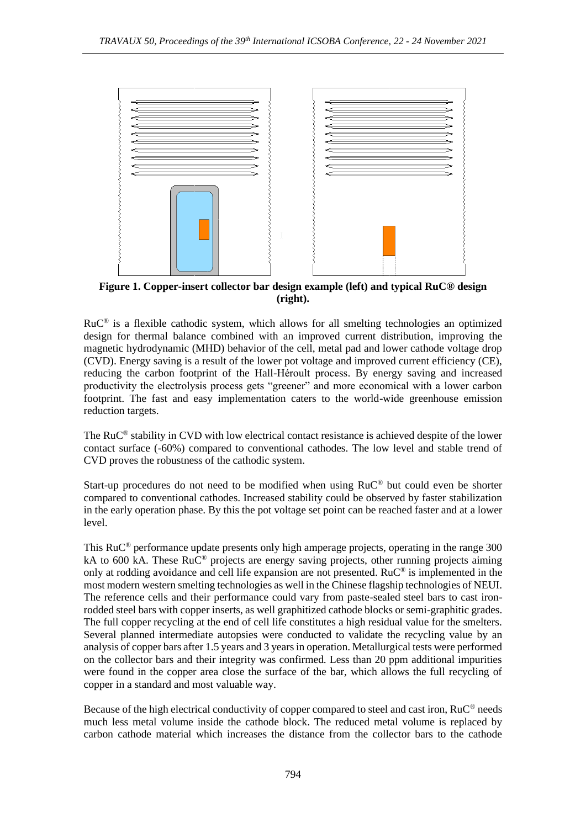

<span id="page-1-0"></span>**Figure 1. Copper-insert collector bar design example (left) and typical RuC® design (right).**

 $RuC^®$  is a flexible cathodic system, which allows for all smelting technologies an optimized design for thermal balance combined with an improved current distribution, improving the magnetic hydrodynamic (MHD) behavior of the cell, metal pad and lower cathode voltage drop (CVD). Energy saving is a result of the lower pot voltage and improved current efficiency (CE), reducing the carbon footprint of the Hall-Héroult process. By energy saving and increased productivity the electrolysis process gets "greener" and more economical with a lower carbon footprint. The fast and easy implementation caters to the world-wide greenhouse emission reduction targets.

The RuC® stability in CVD with low electrical contact resistance is achieved despite of the lower contact surface (-60%) compared to conventional cathodes. The low level and stable trend of CVD proves the robustness of the cathodic system.

Start-up procedures do not need to be modified when using RuC® but could even be shorter compared to conventional cathodes. Increased stability could be observed by faster stabilization in the early operation phase. By this the pot voltage set point can be reached faster and at a lower level.

This RuC® performance update presents only high amperage projects, operating in the range 300 kA to 600 kA. These  $Ru^{\mathbb{C}^{\circledR}}$  projects are energy saving projects, other running projects aiming only at rodding avoidance and cell life expansion are not presented. RuC® is implemented in the most modern western smelting technologies as well in the Chinese flagship technologies of NEUI. The reference cells and their performance could vary from paste-sealed steel bars to cast ironrodded steel bars with copper inserts, as well graphitized cathode blocks or semi-graphitic grades. The full copper recycling at the end of cell life constitutes a high residual value for the smelters. Several planned intermediate autopsies were conducted to validate the recycling value by an analysis of copper bars after 1.5 years and 3 years in operation. Metallurgical tests were performed on the collector bars and their integrity was confirmed. Less than 20 ppm additional impurities were found in the copper area close the surface of the bar, which allows the full recycling of copper in a standard and most valuable way.

Because of the high electrical conductivity of copper compared to steel and cast iron, RuC® needs much less metal volume inside the cathode block. The reduced metal volume is replaced by carbon cathode material which increases the distance from the collector bars to the cathode